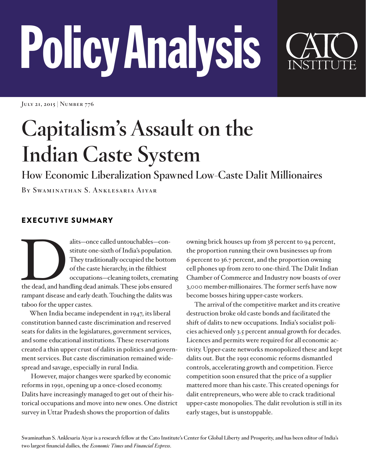# PolicyAnalysis



**July 21, 2015 | Number 776**

# **Capitalism's Assault on the Indian Caste System**

**How Economic Liberalization Spawned Low-Caste Dalit Millionaires**

**By Swaminathan S. Anklesaria Aiyar**

# EXECUTIVE SUMMARY

alits—once called untouchables—constitute one-sixth of India's population.<br>They traditionally occupied the botton of the caste hierarchy, in the filthiest occupations—cleaning toilets, cremating the dead, and handling dead stitute one-sixth of India's population. They traditionally occupied the bottom of the caste hierarchy, in the filthiest occupations—cleaning toilets, cremating rampant disease and early death. Touching the dalits was taboo for the upper castes.

When India became independent in 1947, its liberal constitution banned caste discrimination and reserved seats for dalits in the legislatures, government services, and some educational institutions. These reservations created a thin upper crust of dalits in politics and government services. But caste discrimination remained widespread and savage, especially in rural India.

 However, major changes were sparked by economic reforms in 1991, opening up a once-closed economy. Dalits have increasingly managed to get out of their historical occupations and move into new ones. One district survey in Uttar Pradesh shows the proportion of dalits

owning brick houses up from 38 percent to 94 percent, the proportion running their own businesses up from 6 percent to 36.7 percent, and the proportion owning cell phones up from zero to one-third. The Dalit Indian Chamber of Commerce and Industry now boasts of over 3,000 member-millionaires. The former serfs have now become bosses hiring upper-caste workers.

The arrival of the competitive market and its creative destruction broke old caste bonds and facilitated the shift of dalits to new occupations. India's socialist policies achieved only 3.5 percent annual growth for decades. Licences and permits were required for all economic activity. Upper-caste networks monopolized these and kept dalits out. But the 1991 economic reforms dismantled controls, accelerating growth and competition. Fierce competition soon ensured that the price of a supplier mattered more than his caste. This created openings for dalit entrepreneurs, who were able to crack traditional upper-caste monopolies. The dalit revolution is still in its early stages, but is unstoppable.

**Swaminathan S. Anklesaria Aiyar is a research fellow at the Cato Institute's Center for Global Liberty and Prosperity, and has been editor of India's two largest financial dailies, the** *Economic Times* **and** *Financial Express***.**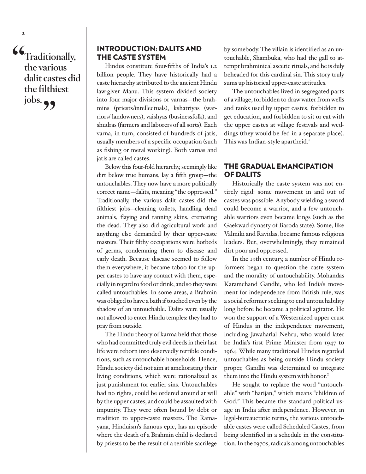**"Traditionally, the various dalit castes did the filthiest jobs.** 

**2**

#### INTRODUCTION: DALITS AND THE CASTE SYSTEM

Hindus constitute four-fifths of India's 1.2 billion people. They have historically had a caste hierarchy attributed to the ancient Hindu law-giver Manu. This system divided society into four major divisions or varnas—the brahmins (priests/intellectuals), kshatriyas (warriors/ landowners), vaishyas (businessfolk), and shudras (farmers and laborers of all sorts). Each varna, in turn, consisted of hundreds of jatis, usually members of a specific occupation (such as fishing or metal working). Both varnas and jatis are called castes.

Below this four-fold hierarchy, seemingly like dirt below true humans, lay a fifth group—the untouchables. They now have a more politically correct name—dalits, meaning "the oppressed." Traditionally, the various dalit castes did the filthiest jobs—cleaning toilets, handling dead animals, flaying and tanning skins, cremating the dead. They also did agricultural work and anything else demanded by their upper-caste masters. Their filthy occupations were hotbeds of germs, condemning them to disease and early death. Because disease seemed to follow them everywhere, it became taboo for the upper castes to have any contact with them, especially in regard to food or drink, and so they were called untouchables. In some areas, a Brahmin was obliged to have a bath if touched even by the shadow of an untouchable. Dalits were usually not allowed to enter Hindu temples: they had to pray from outside.

The Hindu theory of karma held that those who had committed truly evil deeds in their last life were reborn into deservedly terrible conditions, such as untouchable households. Hence, Hindu society did not aim at ameliorating their living conditions, which were rationalized as just punishment for earlier sins. Untouchables had no rights, could be ordered around at will by the upper castes, and could be assaulted with impunity. They were often bound by debt or tradition to upper-caste masters. The Ramayana, Hinduism's famous epic, has an episode where the death of a Brahmin child is declared by priests to be the result of a terrible sacrilege

by somebody. The villain is identified as an untouchable, Shambuka, who had the gall to attempt brahminical ascetic rituals, and he is duly beheaded for this cardinal sin. This story truly sums up historical upper-caste attitudes.

The untouchables lived in segregated parts of a village, forbidden to draw water from wells and tanks used by upper castes, forbidden to get education, and forbidden to sit or eat with the upper castes at village festivals and weddings (they would be fed in a separate place). This was Indian-style apartheid.<sup>1</sup>

# THE GRADUAL EMANCIPATION OF DALITS

Historically the caste system was not entirely rigid: some movement in and out of castes was possible. Anybody wielding a sword could become a warrior, and a few untouchable warriors even became kings (such as the Gaekwad dynasty of Baroda state). Some, like Valmiki and Ravidas, became famous religious leaders. But, overwhelmingly, they remained dirt poor and oppressed.

In the 19th century, a number of Hindu reformers began to question the caste system and the morality of untouchability. Mohandas Karamchand Gandhi, who led India's movement for independence from British rule, was a social reformer seeking to end untouchability long before he became a political agitator. He won the support of a Westernized upper crust of Hindus in the independence movement, including Jawaharlal Nehru, who would later be India's first Prime Minister from 1947 to 1964. While many traditional Hindus regarded untouchables as being outside Hindu society proper, Gandhi was determined to integrate them into the Hindu system with honor.<sup>2</sup>

He sought to replace the word "untouchable" with "harijan," which means "children of God." This became the standard political usage in India after independence. However, in legal-bureaucratic terms, the various untouchable castes were called Scheduled Castes, from being identified in a schedule in the constitution. In the 1970s, radicals among untouchables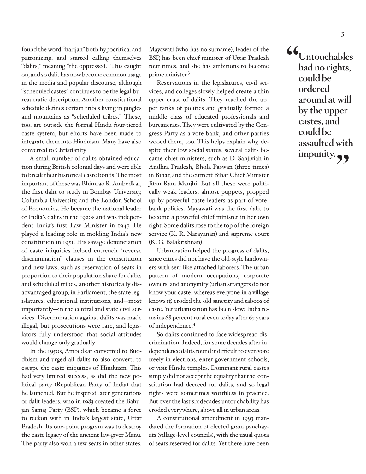found the word "harijan" both hypocritical and patronizing, and started calling themselves "dalits," meaning "the oppressed." This caught on, and so dalit has now become common usage in the media and popular discourse, although "scheduled castes" continues to be the legal-bureaucratic description. Another constitutional schedule defines certain tribes living in jungles and mountains as "scheduled tribes." These, too, are outside the formal Hindu four-tiered caste system, but efforts have been made to integrate them into Hinduism. Many have also converted to Christianity.

A small number of dalits obtained education during British colonial days and were able to break their historical caste bonds. The most important of these was Bhimrao R. Ambedkar, the first dalit to study in Bombay University, Columbia University, and the London School of Economics. He became the national leader of India's dalits in the 1920s and was independent India's first Law Minister in 1947. He played a leading role in molding India's new constitution in 1951. His savage denunciation of caste iniquities helped entrench "reverse discrimination" clauses in the constitution and new laws, such as reservation of seats in proportion to their population share for dalits and scheduled tribes, another historically disadvantaged group, in Parliament, the state legislatures, educational institutions, and—most importantly—in the central and state civil services. Discrimination against dalits was made illegal, but prosecutions were rare, and legislators fully understood that social attitudes would change only gradually.

In the 1950s, Ambedkar converted to Buddhism and urged all dalits to also convert, to escape the caste iniquities of Hinduism. This had very limited success, as did the new political party (Republican Party of India) that he launched. But he inspired later generations of dalit leaders, who in 1983 created the Bahujan Samaj Party (BSP), which became a force to reckon with in India's largest state, Uttar Pradesh. Its one-point program was to destroy the caste legacy of the ancient law-giver Manu. The party also won a few seats in other states. Mayawati (who has no surname), leader of the BSP, has been chief minister of Uttar Pradesh four times, and she has ambitions to become prime minister.<sup>3</sup>

Reservations in the legislatures, civil services, and colleges slowly helped create a thin upper crust of dalits. They reached the upper ranks of politics and gradually formed a middle class of educated professionals and bureaucrats. They were cultivated by the Congress Party as a vote bank, and other parties wooed them, too. This helps explain why, despite their low social status, several dalits became chief ministers, such as D. Sanjiviah in Andhra Pradesh, Bhola Paswan (three times) in Bihar, and the current Bihar Chief Minister Jitan Ram Manjhi. But all these were politically weak leaders, almost puppets, propped up by powerful caste leaders as part of votebank politics. Mayawati was the first dalit to become a powerful chief minister in her own right. Some dalits rose to the top of the foreign service (K. R. Narayanan) and supreme court (K. G. Balakrishnan).

Urbanization helped the progress of dalits, since cities did not have the old-style landowners with serf-like attached laborers. The urban pattern of modern occupations, corporate owners, and anonymity (urban strangers do not know your caste, whereas everyone in a village knows it) eroded the old sanctity and taboos of caste. Yet urbanization has been slow: India remains 68 percent rural even today after 67 years of independence.4

So dalits continued to face widespread discrimination. Indeed, for some decades after independence dalits found it difficult to even vote freely in elections, enter government schools, or visit Hindu temples. Dominant rural castes simply did not accept the equality that the constitution had decreed for dalits, and so legal rights were sometimes worthless in practice. But over the last six decades untouchability has eroded everywhere, above all in urban areas.

A constitutional amendment in 1993 mandated the formation of elected gram panchayats (village-level councils), with the usual quota of seats reserved for dalits. Yet there have been **"Untouchables had no rights, could be ordered around at will by the upper castes, and could be assaulted with impunity.**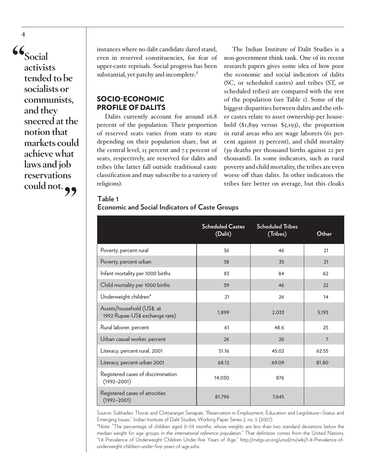**"Social activists tended to be socialists or communists, and they sneered at the notion that markets could achieve what laws and job reservations**  could not. **99** 

**4**

instances where no dalit candidate dared stand, even in reserved constituencies, for fear of upper-caste reprisals. Social progress has been substantial, yet patchy and incomplete.<sup>5</sup>

# SOCIO-ECONOMIC PROFILE OF DALITS

Dalits currently account for around 16.8 percent of the population. Their proportion of reserved seats varies from state to state depending on their population share, but at the central level, 15 percent and 7.5 percent of seats, respectively, are reserved for dalits and tribes (the latter fall outside traditional caste classification and may subscribe to a variety of religions).

The Indian Institute of Dalit Studies is a non-government think tank. One of its recent research papers gives some idea of how poor the economic and social indicators of dalits (SC, or scheduled castes) and tribes (ST, or scheduled tribes) are compared with the rest of the population (see Table 1). Some of the biggest disparities between dalits and the other castes relate to asset ownership per household (\$1,899 versus \$5,193), the proportion in rural areas who are wage laborers (61 percent against 25 percent), and child mortality (39 deaths per thousand births against 22 per thousand). In some indicators, such as rural poverty and child mortality, the tribes are even worse off than dalits. In other indicators the tribes fare better on average, but this cloaks

# **Table 1 Economic and Social Indicators of Caste Groups**

|                                                              | <b>Scheduled Castes</b><br>(Dalit) | <b>Scheduled Tribes</b><br>(Tribes) | Other          |
|--------------------------------------------------------------|------------------------------------|-------------------------------------|----------------|
| Poverty, percent rural                                       | 36                                 | 46                                  | 21             |
| Poverty, percent urban                                       | 38                                 | 35                                  | 21             |
| Infant mortality per 1000 births                             | 83                                 | 84                                  | 62             |
| Child mortality per 1000 births                              | 39                                 | 46                                  | 22             |
| Underweight children*                                        | 21                                 | 26                                  | 14             |
| Assets/household (US\$, at<br>1992 Rupee-US\$ exchange rate) | 1,899                              | 2,033                               | 5,193          |
| Rural laborer, percent                                       | 61                                 | 48.6                                | 25             |
| Urban casual worker, percent                                 | 26                                 | 26                                  | $\overline{7}$ |
| Literacy, percent rural, 2001                                | 51.16                              | 45.02                               | 62.55          |
| Literacy, percent urban 2001                                 | 68.12                              | 69.09                               | 81.80          |
| Registered cases of discrimination<br>$(1992 - 2001)$        | 14,030                             | 876                                 |                |
| Registered cases of atrocities<br>$(1992 - 2001)$            | 81,796                             | 7,645                               |                |

Source: Sukhadeo Thorat and Chittaranjan Senapati, "Reservation in Employment, Education and Legislature—Status and Emerging Issues," Indian Institute of Dalit Studies, Working Paper Series 2, no. 5 (2007).

\*Note: "The percentage of children aged 0–59 months, whose weights are less than two standard deviations below the median weight for age groups in the *international reference population*." That definition comes from the United Nations, "1.8 Prevalence of Underweight Children Under-five Years of Age," http://mdgs.un.org/unsd/mi/wiki/1-8-Prevalence-ofunderweight-children-under-five-years-of-age.ashx.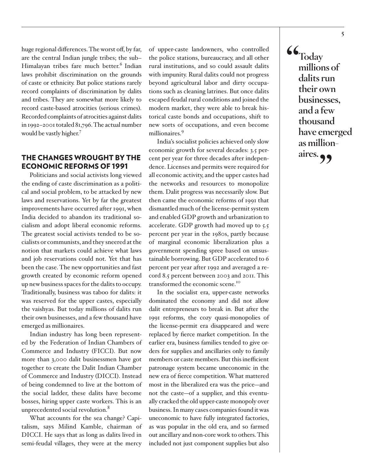huge regional differences. The worst off, by far, are the central Indian jungle tribes; the sub– Himalayan tribes fare much better.<sup>6</sup> Indian laws prohibit discrimination on the grounds of caste or ethnicity. But police stations rarely record complaints of discrimination by dalits and tribes. They are somewhat more likely to record caste-based atrocities (serious crimes). Recorded complaints of atrocities against dalits in 1992–2001 totaled 81,796. The actual number would be vastly higher.7

# THE CHANGES WROUGHT BY THE ECONOMIC REFORMS OF 1991

Politicians and social activists long viewed the ending of caste discrimination as a political and social problem, to be attacked by new laws and reservations. Yet by far the greatest improvements have occurred after 1991, when India decided to abandon its traditional socialism and adopt liberal economic reforms. The greatest social activists tended to be socialists or communists, and they sneered at the notion that markets could achieve what laws and job reservations could not. Yet that has been the case. The new opportunities and fast growth created by economic reform opened up new business spaces for the dalits to occupy. Traditionally, business was taboo for dalits: it was reserved for the upper castes, especially the vaishyas. But today millions of dalits run their own businesses, and a few thousand have emerged as millionaires.

Indian industry has long been represented by the Federation of Indian Chambers of Commerce and Industry (FICCI). But now more than 3,000 dalit businessmen have got together to create the Dalit Indian Chamber of Commerce and Industry (DICCI). Instead of being condemned to live at the bottom of the social ladder, these dalits have become bosses, hiring upper caste workers. This is an unprecedented social revolution.<sup>8</sup>

What accounts for the sea change? Capitalism, says Milind Kamble, chairman of DICCI. He says that as long as dalits lived in semi-feudal villages, they were at the mercy

of upper-caste landowners, who controlled the police stations, bureaucracy, and all other rural institutions, and so could assault dalits with impunity. Rural dalits could not progress beyond agricultural labor and dirty occupations such as cleaning latrines. But once dalits escaped feudal rural conditions and joined the modern market, they were able to break historical caste bonds and occupations, shift to new sorts of occupations, and even become millionaires.<sup>9</sup>

India's socialist policies achieved only slow economic growth for several decades: 3.5 percent per year for three decades after independence. Licenses and permits were required for all economic activity, and the upper castes had the networks and resources to monopolize them. Dalit progress was necessarily slow. But then came the economic reforms of 1991 that dismantled much of the license-permit system and enabled GDP growth and urbanization to accelerate. GDP growth had moved up to 5.5 percent per year in the 1980s, partly because of marginal economic liberalization plus a government spending spree based on unsustainable borrowing. But GDP accelerated to 6 percent per year after 1992 and averaged a record 8.5 percent between 2003 and 2011. This transformed the economic scene.10

In the socialist era, upper-caste networks dominated the economy and did not allow dalit entrepreneurs to break in. But after the 1991 reforms, the cozy quasi-monopolies of the license-permit era disappeared and were replaced by fierce market competition. In the earlier era, business families tended to give orders for supplies and ancillaries only to family members or caste members. But this inefficient patronage system became uneconomic in the new era of fierce competition. What mattered most in the liberalized era was the price—and not the caste—of a supplier, and this eventually cracked the old upper-caste monopoly over business. In many cases companies found it was uneconomic to have fully integrated factories, as was popular in the old era, and so farmed out ancillary and non-core work to others. This included not just component supplies but also

**"Today millions of dalits run their own businesses, and a few thousand have emerged as million**aires.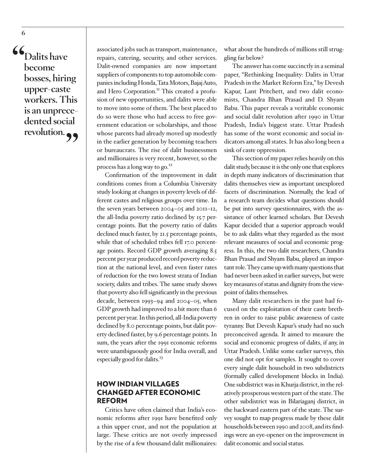**"Dalits have become bosses, hiring upper-caste workers. This is an unprecedented social revolution."**

associated jobs such as transport, maintenance, repairs, catering, security, and other services. Dalit-owned companies are now important suppliers of components to top automobile companies including Honda, Tata Motors, Bajaj Auto, and Hero Corporation.<sup>11</sup> This created a profusion of new opportunities, and dalits were able to move into some of them. The best placed to do so were those who had access to free government education or scholarships, and those whose parents had already moved up modestly in the earlier generation by becoming teachers or bureaucrats. The rise of dalit businessmen and millionaires is very recent, however, so the process has a long way to go.<sup>12</sup>

Confirmation of the improvement in dalit conditions comes from a Columbia University study looking at changes in poverty levels of different castes and religious groups over time. In the seven years between 2004–05 and 2011–12, the all-India poverty ratio declined by 15.7 percentage points. But the poverty ratio of dalits declined much faster, by 21.5 percentage points, while that of scheduled tribes fell 17.0 percentage points. Record GDP growth averaging 8.5 percent per year produced record poverty reduction at the national level, and even faster rates of reduction for the two lowest strata of Indian society, dalits and tribes. The same study shows that poverty also fell significantly in the previous decade, between 1993–94 and 2004–05, when GDP growth had improved to a bit more than 6 percent per year. In this period, all-India poverty declined by 8.0 percentage points, but dalit poverty declined faster, by 9.6 percentage points. In sum, the years after the 1991 economic reforms were unambiguously good for India overall, and especially good for dalits.<sup>13</sup>

# HOW INDIAN VILLAGES CHANGED AFTER ECONOMIC REFORM

Critics have often claimed that India's economic reforms after 1991 have benefited only a thin upper crust, and not the population at large. These critics are not overly impressed by the rise of a few thousand dalit millionaires: what about the hundreds of millions still struggling far below?

The answer has come succinctly in a seminal paper, "Rethinking Inequality: Dalits in Uttar Pradesh in the Market Reform Era," by Devesh Kapur, Lant Pritchett, and two dalit economists, Chandra Bhan Prasad and D. Shyam Babu. This paper reveals a veritable economic and social dalit revolution after 1990 in Uttar Pradesh, India's biggest state. Uttar Pradesh has some of the worst economic and social indicators among all states. It has also long been a sink of caste oppression.

This section of my paper relies heavily on this dalit study, because it is the only one that explores in depth many indicators of discrimination that dalits themselves view as important unexplored facets of discrimination. Normally, the lead of a research team decides what questions should be put into survey questionnaires, with the assistance of other learned scholars. But Devesh Kapur decided that a superior approach would be to ask dalits what they regarded as the most relevant measures of social and economic progress. In this, the two dalit researchers, Chandra Bhan Prasad and Shyam Babu, played an important role. They came up with many questions that had never been asked in earlier surveys, but were key measures of status and dignity from the viewpoint of dalits themselves.

Many dalit researchers in the past had focused on the exploitation of their caste brethren in order to raise public awareness of caste tyranny. But Devesh Kapur's study had no such preconceived agenda. It aimed to measure the social and economic progress of dalits, if any, in Uttar Pradesh. Unlike some earlier surveys, this one did not opt for samples. It sought to cover every single dalit household in two subdistricts (formally called development blocks in India). One subdistrict was in Khurja district, in the relatively prosperous western part of the state. The other subdistrict was in Bilariaganj district, in the backward eastern part of the state. The survey sought to map progress made by these dalit households between 1990 and 2008, and its findings were an eye-opener on the improvement in dalit economic and social status.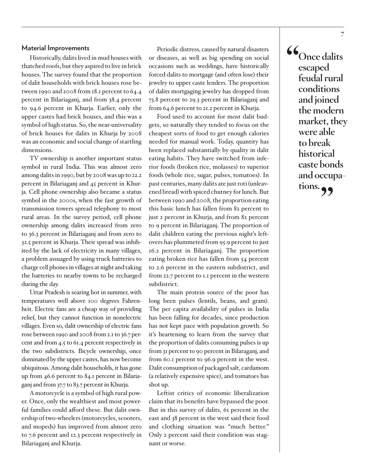#### **Material Improvements**

Historically, dalits lived in mud houses with thatched roofs, but they aspired to live in brick houses. The survey found that the proportion of dalit households with brick houses rose between 1990 and 2008 from 18.1 percent to 64.4 percent in Bilariaganj, and from 38.4 percent to 94.6 percent in Khurja. Earlier, only the upper castes had brick houses, and this was a symbol of high status. So, the near-universality of brick houses for dalits in Khurja by 2008 was an economic and social change of startling dimensions.

TV ownership is another important status symbol in rural India. This was almost zero among dalits in 1990, but by 2008 was up to 22.2 percent in Bilariaganj and 45 percent in Khurja. Cell phone ownership also became a status symbol in the 2000s, when the fast growth of transmission towers spread telephony to most rural areas. In the survey period, cell phone ownership among dalits increased from zero to 36.3 percent in Bilariaganj and from zero to 32.5 percent in Khurja. Their spread was inhibited by the lack of electricity in many villages, a problem assuaged by using truck batteries to charge cell phones in villages at night and taking the batteries to nearby towns to be recharged during the day.

Uttar Pradesh is searing hot in summer, with temperatures well above 100 degrees Fahrenheit. Electric fans are a cheap way of providing relief, but they cannot function in nonelectric villages. Even so, dalit ownership of electric fans rose between 1990 and 2008 from 2.1 to 36.7 percent and from 4.5 to 61.4 percent respectively in the two subdistricts. Bicycle ownership, once dominated by the upper castes, has now become ubiquitous. Among dalit households, it has gone up from 46.6 percent to 84.1 percent in Bilariaganj and from 37.7 to 83.7 percent in Khurja.

A motorcycle is a symbol of high rural power. Once, only the wealthiest and most powerful families could afford these. But dalit ownership of two-wheelers (motorcycles, scooters, and mopeds) has improved from almost zero to 7.6 percent and 12.3 percent respectively in Bilariaganj and Khurja.

Periodic distress, caused by natural disasters or diseases, as well as big spending on social occasions such as weddings, have historically forced dalits to mortgage (and often lose) their jewelry to upper caste lenders. The proportion of dalits mortgaging jewelry has dropped from 75.8 percent to 29.3 percent in Bilariaganj and from 64.6 percent to 21.2 percent in Khurja.

Food used to account for most dalit budgets, so naturally they tended to focus on the cheapest sorts of food to get enough calories needed for manual work. Today, quantity has been replaced substantially by quality in dalit eating habits. They have switched from inferior foods (broken rice, molasses) to superior foods (whole rice, sugar, pulses, tomatoes). In past centuries, many dalits ate just roti (unleavened bread) with spiced chutney for lunch. But between 1990 and 2008, the proportion eating this basic lunch has fallen from 82 percent to just 2 percent in Khurja, and from 82 percent to 9 percent in Bilariaganj. The proportion of dalit children eating the previous night's leftovers has plummeted from 95.9 percent to just 16.2 percent in Bilariaganj. The proportion eating broken rice has fallen from 54 percent to 2.6 percent in the eastern subdistrict, and from 22.7 percent to 1.1 percent in the western subdistrict.

The main protein source of the poor has long been pulses (lentils, beans, and gram). The per capita availability of pulses in India has been falling for decades, since production has not kept pace with population growth. So it's heartening to learn from the survey that the proportion of dalits consuming pulses is up from 31 percent to 90 percent in Bilaraganj, and from 60.1 percent to 96.9 percent in the west. Dalit consumption of packaged salt, cardamom (a relatively expensive spice), and tomatoes has shot up.

Leftist critics of economic liberalization claim that its benefits have bypassed the poor. But in this survey of dalits, 61 percent in the east and 38 percent in the west said their food and clothing situation was "much better." Only 2 percent said their condition was stagnant or worse.

**"Once dalits escaped feudal rural conditions and joined the modern market, they were able to break historical caste bonds and occupations."**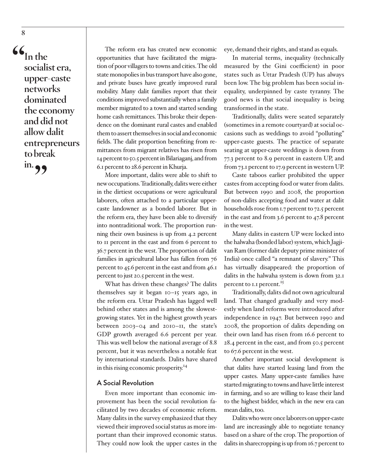$\mathcal{L}_{\ln \text{the}}$ **socialist era, upper-caste networks dominated the economy and did not allow dalit entrepreneurs to break in.** 

The reform era has created new economic opportunities that have facilitated the migration of poor villagers to towns and cities. The old state monopolies in bus transport have also gone, and private buses have greatly improved rural mobility. Many dalit families report that their conditions improved substantially when a family member migrated to a town and started sending home cash remittances. This broke their dependence on the dominant rural castes and enabled them to assert themselves in social and economic fields. The dalit proportion benefiting from remittances from migrant relatives has risen from 14 percent to 50.5 percent in Bilariaganj, and from 6.1 percent to 28.6 percent in Khurja.

More important, dalits were able to shift to new occupations. Traditionally, dalits were either in the dirtiest occupations or were agricultural laborers, often attached to a particular uppercaste landowner as a bonded laborer. But in the reform era, they have been able to diversify into nontraditional work. The proportion running their own business is up from 4.2 percent to 11 percent in the east and from 6 percent to 36.7 percent in the west. The proportion of dalit families in agricultural labor has fallen from 76 percent to 45.6 percent in the east and from 46.1 percent to just 20.5 percent in the west.

What has driven these changes? The dalits themselves say it began 10–15 years ago, in the reform era. Uttar Pradesh has lagged well behind other states and is among the slowestgrowing states. Yet in the highest growth years between 2003–04 and 2010–11, the state's GDP growth averaged 6.6 percent per year. This was well below the national average of 8.8 percent, but it was nevertheless a notable feat by international standards. Dalits have shared in this rising economic prosperity.<sup>14</sup>

#### **A Social Revolution**

Even more important than economic improvement has been the social revolution facilitated by two decades of economic reform. Many dalits in the survey emphasized that they viewed their improved social status as more important than their improved economic status. They could now look the upper castes in the

eye, demand their rights, and stand as equals.

In material terms, inequality (technically measured by the Gini coefficient) in poor states such as Uttar Pradesh (UP) has always been low. The big problem has been social inequality, underpinned by caste tyranny. The good news is that social inequality is being transformed in the state.

Traditionally, dalits were seated separately (sometimes in a remote courtyard) at social occasions such as weddings to avoid "polluting" upper-caste guests. The practice of separate seating at upper-caste weddings is down from 77.3 percent to 8.9 percent in eastern UP, and from 73.1 percent to 17.9 percent in western UP.

Caste taboos earlier prohibited the upper castes from accepting food or water from dalits. But between 1990 and 2008, the proportion of non-dalits accepting food and water at dalit households rose from 1.7 percent to 72.5 percent in the east and from 3.6 percent to 47.8 percent in the west.

Many dalits in eastern UP were locked into the halwaha (bonded labor) system, which Jagjivan Ram (former dalit deputy prime minister of India) once called "a remnant of slavery." This has virtually disappeared: the proportion of dalits in the halwaha system is down from 32.1 percent to 1.1 percent.<sup>15</sup>

Traditionally, dalits did not own agricultural land. That changed gradually and very modestly when land reforms were introduced after independence in 1947. But between 1990 and 2008, the proportion of dalits depending on their own land has risen from 16.6 percent to 28.4 percent in the east, and from 50.5 percent to 67.6 percent in the west.

Another important social development is that dalits have started leasing land from the upper castes. Many upper-caste families have started migrating to towns and have little interest in farming, and so are willing to lease their land to the highest bidder, which in the new era can mean dalits, too.

Dalits who were once laborers on upper-caste land are increasingly able to negotiate tenancy based on a share of the crop. The proportion of dalits in sharecropping is up from 16.7 percent to

**8**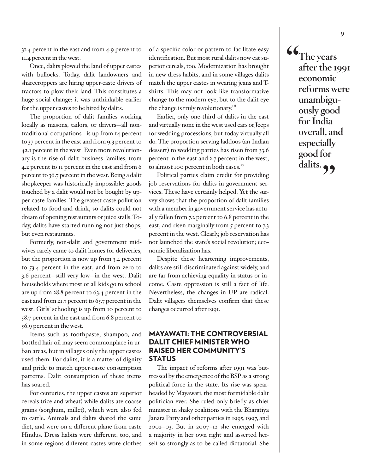31.4 percent in the east and from 4.9 percent to 11.4 percent in the west.

Once, dalits plowed the land of upper castes with bullocks. Today, dalit landowners and sharecroppers are hiring upper-caste drivers of tractors to plow their land. This constitutes a huge social change: it was unthinkable earlier for the upper castes to be hired by dalits.

The proportion of dalit families working locally as masons, tailors, or drivers—all nontraditional occupations—is up from 14 percent to 37 percent in the east and from 9.3 percent to 42.1 percent in the west. Even more revolutionary is the rise of dalit business families, from 4.2 percent to 11 percent in the east and from 6 percent to 36.7 percent in the west. Being a dalit shopkeeper was historically impossible: goods touched by a dalit would not be bought by upper-caste families. The greatest caste pollution related to food and drink, so dalits could not dream of opening restaurants or juice stalls. Today, dalits have started running not just shops, but even restaurants.

Formerly, non-dalit and government midwives rarely came to dalit homes for deliveries, but the proportion is now up from 3.4 percent to 53.4 percent in the east, and from zero to 3.6 percent—still very low—in the west. Dalit households where most or all kids go to school are up from 28.8 percent to 63.4 percent in the east and from 21.7 percent to 65.7 percent in the west. Girls' schooling is up from 10 percent to 58.7 percent in the east and from 6.8 percent to 56.9 percent in the west.

Items such as toothpaste, shampoo, and bottled hair oil may seem commonplace in urban areas, but in villages only the upper castes used them. For dalits, it is a matter of dignity and pride to match upper-caste consumption patterns. Dalit consumption of these items has soared.

For centuries, the upper castes ate superior cereals (rice and wheat) while dalits ate coarse grains (sorghum, millet), which were also fed to cattle. Animals and dalits shared the same diet, and were on a different plane from caste Hindus. Dress habits were different, too, and in some regions different castes wore clothes

of a specific color or pattern to facilitate easy identification. But most rural dalits now eat superior cereals, too. Modernization has brought in new dress habits, and in some villages dalits match the upper castes in wearing jeans and Tshirts. This may not look like transformative change to the modern eye, but to the dalit eye the change is truly revolutionary.<sup>16</sup>

Earlier, only one-third of dalits in the east and virtually none in the west used cars or Jeeps for wedding processions, but today virtually all do. The proportion serving laddoos (an Indian dessert) to wedding parties has risen from 33.6 percent in the east and 2.7 percent in the west, to almost 100 percent in both cases.<sup>17</sup>

Political parties claim credit for providing job reservations for dalits in government services. These have certainly helped. Yet the survey shows that the proportion of dalit families with a member in government service has actually fallen from 7.2 percent to 6.8 percent in the east, and risen marginally from 5 percent to 7.3 percent in the west. Clearly, job reservation has not launched the state's social revolution; economic liberalization has.

Despite these heartening improvements, dalits are still discriminated against widely, and are far from achieving equality in status or income. Caste oppression is still a fact of life. Nevertheless, the changes in UP are radical. Dalit villagers themselves confirm that these changes occurred after 1991.

# MAYAWATI: THE CONTROVERSIAL DALIT CHIEF MINISTER WHO RAISED HER COMMUNITY'S **STATUS**

The impact of reforms after 1991 was buttressed by the emergence of the BSP as a strong political force in the state. Its rise was spearheaded by Mayawati, the most formidable dalit politician ever. She ruled only briefly as chief minister in shaky coalitions with the Bharatiya Janata Party and other parties in 1995, 1997, and 2002–03. But in 2007–12 she emerged with a majority in her own right and asserted herself so strongly as to be called dictatorial. She

**"The years after the 1991 economic reforms were unambiguously good for India overall, and especially good for dalits."**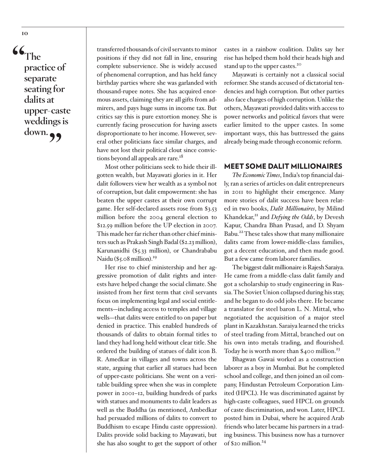**"The practice of separate seating for dalits at upper-caste weddings is**  down.<sub>99</sub>

transferred thousands of civil servants to minor positions if they did not fall in line, ensuring complete subservience. She is widely accused of phenomenal corruption, and has held fancy birthday parties where she was garlanded with thousand-rupee notes. She has acquired enormous assets, claiming they are all gifts from admirers, and pays huge sums in income tax. But critics say this is pure extortion money. She is currently facing prosecution for having assets disproportionate to her income. However, several other politicians face similar charges, and have not lost their political clout since convictions beyond all appeals are rare.<sup>18</sup>

Most other politicians seek to hide their illgotten wealth, but Mayawati glories in it. Her dalit followers view her wealth as a symbol not of corruption, but dalit empowerment: she has beaten the upper castes at their own corrupt game. Her self-declared assets rose from \$3.53 million before the 2004 general election to \$12.59 million before the UP election in 2007. This made her far richer than other chief ministers such as Prakash Singh Badal (\$2.23 million), Karunanidhi (\$5.33 million), or Chandrababu Naidu ( $$5.08$  million).<sup>19</sup>

Her rise to chief ministership and her aggressive promotion of dalit rights and interests have helped change the social climate. She insisted from her first term that civil servants focus on implementing legal and social entitlements—including access to temples and village wells—that dalits were entitled to on paper but denied in practice. This enabled hundreds of thousands of dalits to obtain formal titles to land they had long held without clear title. She ordered the building of statues of dalit icon B. R. Amedkar in villages and towns across the state, arguing that earlier all statues had been of upper-caste politicians. She went on a veritable building spree when she was in complete power in 2001–12, building hundreds of parks with statues and monuments to dalit leaders as well as the Buddha (as mentioned, Ambedkar had persuaded millions of dalits to convert to Buddhism to escape Hindu caste oppression). Dalits provide solid backing to Mayawati, but she has also sought to get the support of other

castes in a rainbow coalition. Dalits say her rise has helped them hold their heads high and stand up to the upper castes.<sup>20</sup>

Mayawati is certainly not a classical social reformer. She stands accused of dictatorial tendencies and high corruption. But other parties also face charges of high corruption. Unlike the others, Mayawati provided dalits with access to power networks and political favors that were earlier limited to the upper castes. In some important ways, this has buttressed the gains already being made through economic reform.

#### MEET SOME DALIT MILLIONAIRES

*The Economic Times*, India's top financial daily, ran a series of articles on dalit entrepreneurs in 2011 to highlight their emergence. Many more stories of dalit success have been related in two books, *Dalit Millionaires*, by Milind Khandekar,<sup>21</sup> and *Defying the Odds*, by Devesh Kapur, Chandra Bhan Prasad, and D. Shyam Babu.<sup>22</sup> These tales show that many millionaire dalits came from lower-middle-class families, got a decent education, and then made good. But a few came from laborer families.

The biggest dalit millionaire is Rajesh Saraiya. He came from a middle-class dalit family and got a scholarship to study engineering in Russia. The Soviet Union collapsed during his stay, and he began to do odd jobs there. He became a translator for steel baron L. N. Mittal, who negotiated the acquisition of a major steel plant in Kazakhstan. Saraiya learned the tricks of steel trading from Mittal, branched out on his own into metals trading, and flourished. Today he is worth more than  $$400$  million.<sup>23</sup>

Bhagwan Gawai worked as a construction laborer as a boy in Mumbai. But he completed school and college, and then joined an oil company, Hindustan Petroleum Corporation Limited (HPCL). He was discriminated against by high-caste colleagues, sued HPCL on grounds of caste discrimination, and won. Later, HPCL posted him in Dubai, where he acquired Arab friends who later became his partners in a trading business. This business now has a turnover of \$20 million.<sup>24</sup>

**10**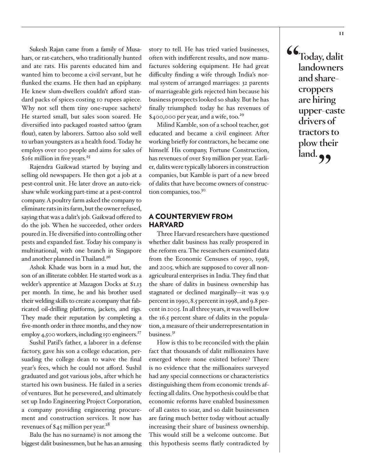Sukesh Rajan came from a family of Musahars, or rat-catchers, who traditionally hunted and ate rats. His parents educated him and wanted him to become a civil servant, but he flunked the exams. He then had an epiphany. He knew slum-dwellers couldn't afford standard packs of spices costing 10 rupees apiece. Why not sell them tiny one-rupee sachets? He started small, but sales soon soared. He diversified into packaged roasted sattoo (gram flour), eaten by laborers. Sattoo also sold well to urban youngsters as a health food. Today he employs over 100 people and aims for sales of \$161 million in five years.<sup>25</sup>

Rajendra Gaikwad started by buying and selling old newspapers. He then got a job at a pest-control unit. He later drove an auto-rickshaw while working part-time at a pest-control company. A poultry farm asked the company to eliminate rats in its farm, but the owner refused, saying that was a dalit's job. Gaikwad offered to do the job. When he succeeded, other orders poured in. He diversified into controlling other pests and expanded fast. Today his company is multinational, with one branch in Singapore and another planned in Thailand.<sup>26</sup>

Ashok Khade was born in a mud hut, the son of an illiterate cobbler. He started work as a welder's apprentice at Mazagon Docks at \$1.13 per month. In time, he and his brother used their welding skills to create a company that fabricated oil-drilling platforms, jackets, and rigs. They made their reputation by completing a five-month order in three months, and they now employ 4,500 workers, including 150 engineers. $27$ 

Sushil Patil's father, a laborer in a defense factory, gave his son a college education, persuading the college dean to waive the final year's fees, which he could not afford. Sushil graduated and got various jobs, after which he started his own business. He failed in a series of ventures. But he persevered, and ultimately set up Indo Engineering Project Corporation, a company providing engineering procurement and construction services. It now has revenues of  $\frac{45}{10}$  million per year.<sup>28</sup>

Balu (he has no surname) is not among the biggest dalit businessmen, but he has an amusing story to tell. He has tried varied businesses, often with indifferent results, and now manufactures soldering equipment. He had great difficulty finding a wife through India's normal system of arranged marriages: 32 parents of marriageable girls rejected him because his business prospects looked so shaky. But he has finally triumphed: today he has revenues of \$400,000 per year, and a wife, too.<sup>29</sup>

Milind Kamble, son of a school teacher, got educated and became a civil engineer. After working briefly for contractors, he became one himself. His company, Fortune Construction, has revenues of over \$19 million per year. Earlier, dalits were typically laborers in construction companies, but Kamble is part of a new breed of dalits that have become owners of construction companies, too.30

# A COUNTERVIEW FROM HARVARD

Three Harvard researchers have questioned whether dalit business has really prospered in the reform era. The researchers examined data from the Economic Censuses of 1990, 1998, and 2005, which are supposed to cover all nonagricultural enterprises in India. They find that the share of dalits in business ownership has stagnated or declined marginally—it was 9.9 percent in 1990, 8.5 percent in 1998, and 9.8 percent in 2005. In all three years, it was well below the 16.5 percent share of dalits in the population, a measure of their underrepresentation in business.31

How is this to be reconciled with the plain fact that thousands of dalit millionaires have emerged where none existed before? There is no evidence that the millionaires surveyed had any special connections or characteristics distinguishing them from economic trends affecting all dalits. One hypothesis could be that economic reforms have enabled businessmen of all castes to soar, and so dalit businessmen are faring much better today without actually increasing their share of business ownership. This would still be a welcome outcome. But this hypothesis seems flatly contradicted by **"Today, dalit landowners and sharecroppers are hiring upper-caste drivers of tractors to plow their l**and.  $\rightarrow$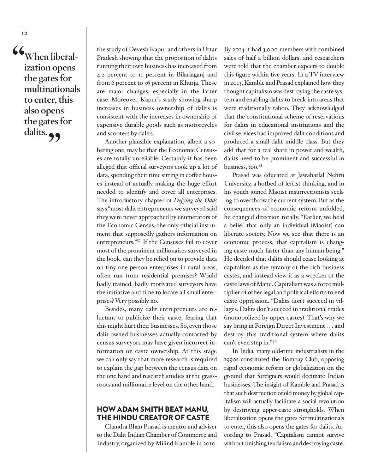**"When liberalization opens the gates for multinationals to enter, this also opens the gates for dalits."**

the study of Devesh Kapur and others in Uttar Pradesh showing that the proportion of dalits running their own business has increased from 4.2 percent to 11 percent in Bilariaganj and from 6 percent to 36 percent in Khurja. These are major changes, especially in the latter case. Moreover, Kapur's study showing sharp increases in business ownership of dalits is consistent with the increases in ownership of expensive durable goods such as motorcycles and scooters by dalits.

Another plausible explanation, albeit a sobering one, may be that the Economic Censuses are totally unreliable. Certainly it has been alleged that official surveyors cook up a lot of data, spending their time sitting in coffee houses instead of actually making the huge effort needed to identify and cover all enterprises. The introductory chapter of *Defying the Odds*  says "most dalit entrepreneurs we surveyed said they were never approached by enumerators of the Economic Census, the only official instrument that supposedly gathers information on entrepreneurs."32 If the Censuses fail to cover most of the prominent millionaires surveyed in the book, can they be relied on to provide data on tiny one-person enterprises in rural areas, often run from residential premises? Would badly trained, badly motivated surveyors have the initiative and time to locate all small enterprises? Very possibly no.

Besides, many dalit entrepreneurs are reluctant to publicize their caste, fearing that this might hurt their businesses. So, even those dalit-owned businesses actually contacted by census surveyors may have given incorrect information on caste ownership. At this stage we can only say that more research is required to explain the gap between the census data on the one hand and research studies at the grassroots and millionaire level on the other hand.

# HOW ADAM SMITH BEAT MANU, THE HINDU CREATOR OF CASTE

Chandra Bhan Prasad is mentor and adviser to the Dalit Indian Chamber of Commerce and Industry, organized by Milind Kamble in 2010.

By 2014 it had 3,000 members with combined sales of half a billion dollars, and researchers were told that the chamber expects to double this figure within five years. In a TV interview in 2013, Kamble and Prasad explained how they thought capitalism was destroying the caste system and enabling dalits to break into areas that were traditionally taboo. They acknowledged that the constitutional scheme of reservations for dalits in educational institutions and the civil services had improved dalit conditions and produced a small dalit middle class. But they add that for a real share in power and wealth, dalits need to be prominent and successful in business, too.<sup>33</sup>

Prasad was educated at Jawaharlal Nehru University, a hotbed of leftist thinking, and in his youth joined Maoist insurrectionists seeking to overthrow the current system. But as the consequences of economic reform unfolded, he changed direction totally. "Earlier, we held a belief that only an individual (Maoist) can liberate society. Now we see that there is an economic process, that capitalism is changing caste much faster than any human being." He decided that dalits should cease looking at capitalism as the tyranny of the rich business castes, and instead view it as a wrecker of the caste laws of Manu. Capitalism was a force multiplier of other legal and political efforts to end caste oppression. "Dalits don't succeed in villages. Dalits don't succeed in traditional trades (monopolized by upper castes). That's why we say bring in Foreign Direct Investment . . . and destroy this traditional system where dalits can't even step in."34

In India, many old-time industrialists in the 1990s constituted the Bombay Club, opposing rapid economic reform or globalization on the ground that foreigners would decimate Indian businesses. The insight of Kamble and Prasad is that such destruction of old money by global capitalism will actually facilitate a social revolution by destroying upper-caste strongholds. When liberalization opens the gates for multinationals to enter, this also opens the gates for dalits. According to Prasad, "Capitalism cannot survive without finishing feudalism and destroying caste.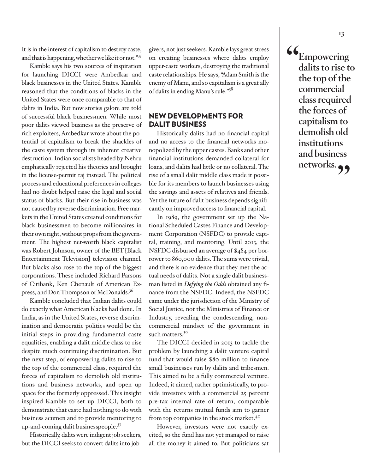It is in the interest of capitalism to destroy caste, and that is happening, whether we like it or not."35

Kamble says his two sources of inspiration for launching DICCI were Ambedkar and black businesses in the United States. Kamble reasoned that the conditions of blacks in the United States were once comparable to that of dalits in India. But now stories galore are told of successful black businessmen. While most poor dalits viewed business as the preserve of rich exploiters, Ambedkar wrote about the potential of capitalism to break the shackles of the caste system through its inherent creative destruction. Indian socialists headed by Nehru emphatically rejected his theories and brought in the license-permit raj instead. The political process and educational preferences in colleges had no doubt helped raise the legal and social status of blacks. But their rise in business was not caused by reverse discrimination. Free markets in the United States created conditions for black businessmen to become millionaires in their own right, without props from the government. The highest net-worth black capitalist was Robert Johnson, owner of the BET [Black Entertainment Television] television channel. But blacks also rose to the top of the biggest corporations. These included Richard Parsons of Citibank, Ken Chenault of American Express, and Don Thompson of McDonalds.<sup>36</sup>

Kamble concluded that Indian dalits could do exactly what American blacks had done. In India, as in the United States, reverse discrimination and democratic politics would be the initial steps in providing fundamental caste equalities, enabling a dalit middle class to rise despite much continuing discrimination. But the next step, of empowering dalits to rise to the top of the commercial class, required the forces of capitalism to demolish old institutions and business networks, and open up space for the formerly oppressed. This insight inspired Kamble to set up DICCI, both to demonstrate that caste had nothing to do with business acumen and to provide mentoring to up-and-coming dalit businesspeople.37

Historically, dalits were indigent job seekers, but the DICCI seeks to convert dalits into jobgivers, not just seekers. Kamble lays great stress on creating businesses where dalits employ upper-caste workers, destroying the traditional caste relationships. He says, "Adam Smith is the enemy of Manu, and so capitalism is a great ally of dalits in ending Manu's rule."38

# NEW DEVELOPMENTS FOR DALIT BUSINESS

Historically dalits had no financial capital and no access to the financial networks monopolized by the upper castes. Banks and other financial institutions demanded collateral for loans, and dalits had little or no collateral. The rise of a small dalit middle class made it possible for its members to launch businesses using the savings and assets of relatives and friends. Yet the future of dalit business depends significantly on improved access to financial capital.

In 1989, the government set up the National Scheduled Castes Finance and Development Corporation (NSFDC) to provide capital, training, and mentoring. Until 2013, the NSFDC disbursed an average of \$484 per borrower to 860,000 dalits. The sums were trivial, and there is no evidence that they met the actual needs of dalits. Not a single dalit businessman listed in *Defying the Odds* obtained any finance from the NSFDC. Indeed, the NSFDC came under the jurisdiction of the Ministry of Social Justice, not the Ministries of Finance or Industry, revealing the condescending, noncommercial mindset of the government in such matters.<sup>39</sup>

The DICCI decided in 2013 to tackle the problem by launching a dalit venture capital fund that would raise \$80 million to finance small businesses run by dalits and tribesmen. This aimed to be a fully commercial venture. Indeed, it aimed, rather optimistically, to provide investors with a commercial 25 percent pre-tax internal rate of return, comparable with the returns mutual funds aim to garner from top companies in the stock market.<sup>40</sup>

However, investors were not exactly excited, so the fund has not yet managed to raise all the money it aimed to. But politicians sat **"Empowering dalits to rise to the top of the commercial class required the forces of capitalism to demolish old institutions and business networks."**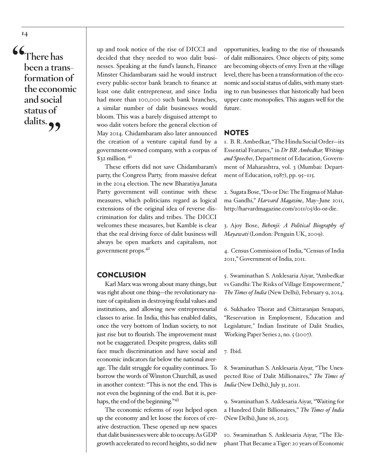**"There has been a transformation of the economic and social status of**  dalits.<sub>?</sub>

up and took notice of the rise of DICCI and decided that they needed to woo dalit businesses. Speaking at the fund's launch, Finance Minster Chidambaram said he would instruct every public-sector bank branch to finance at least one dalit entrepreneur, and since India had more than 100,000 such bank branches, a similar number of dalit businesses would bloom. This was a barely disguised attempt to woo dalit voters before the general election of May 2014. Chidambaram also later announced the creation of a venture capital fund by a government-owned company, with a corpus of \$32 million. 41

These efforts did not save Chidambaram's party, the Congress Party, from massive defeat in the 2014 election. The new Bharatiya Janata Party government will continue with these measures, which politicians regard as logical extensions of the original idea of reverse discrimination for dalits and tribes. The DICCI welcomes these measures, but Kamble is clear that the real driving force of dalit business will always be open markets and capitalism, not government props.42

#### **CONCLUSION**

Karl Marx was wrong about many things, but was right about one thing—the revolutionary nature of capitalism in destroying feudal values and institutions, and allowing new entrepreneurial classes to arise. In India, this has enabled dalits, once the very bottom of Indian society, to not just rise but to flourish. The improvement must not be exaggerated. Despite progress, dalits still face much discrimination and have social and economic indicators far below the national average. The dalit struggle for equality continues. To borrow the words of Winston Churchill, as used in another context: "This is not the end. This is not even the beginning of the end. But it is, perhaps, the end of the beginning."<sup>43</sup>

The economic reforms of 1991 helped open up the economy and let loose the forces of creative destruction. These opened up new spaces that dalit businesses were able to occupy. As GDP growth accelerated to record heights, so did new

opportunities, leading to the rise of thousands of dalit millionaires. Once objects of pity, some are becoming objects of envy. Even at the village level, there has been a transformation of the economic and social status of dalits, with many starting to run businesses that historically had been upper caste monopolies. This augurs well for the future.

#### **NOTES**

1. B. R. Ambedkar, "The Hindu Social Order—its Essential Features," in *Dr BR Ambedkar, Writings and Speeches*, Department of Education, Government of Maharashtra, vol. 3 (Mumbai: Department of Education, 1987), pp. 95–115.

2. Sugata Bose, "Do or Die: The Enigma of Mahatma Gandhi," *Harvard Magazine*, May–June 2011, http://harvardmagazine.com/2011/05/do-or-die.

3. Ajoy Bose, *Behenji: A Political Biography of Mayawati* (London: Penguin UK, 2009).

4. Census Commission of India, "Census of India 2011," Government of India, 2011.

5. Swaminathan S. Anklesaria Aiyar, "Ambedkar vs Gandhi: The Risks of Village Empowerment," *The Times of India* (New Delhi), February 9, 2014.

6. Sukhadeo Thorat and Chittaranjan Senapati, "Reservation in Employment, Education and Legislature*,"* Indian Institute of Dalit Studies, Working Paper Series 2, no. 5 (2007).

7. Ibid.

8. Swaminathan S. Anklesaria Aiyar, "The Unexpected Rise of Dalit Millionaires," *The Times of India* (New Delhi), July 31, 2011.

9. Swaminathan S. Anklesaria Aiyar, "Waiting for a Hundred Dalit Billionaires," *The Times of India*  (New Delhi), June 16, 2013.

10. Swaminathan S. Anklesaria Aiyar, "The Elephant That Became a Tiger: 20 years of Economic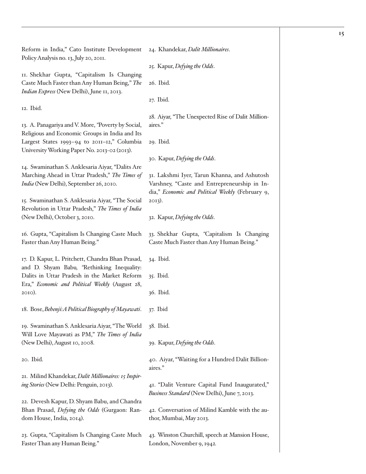Reform in India," Cato Institute Development Policy Analysis no. 13, July 20, 2011. 11. Shekhar Gupta, "Capitalism Is Changing Caste Much Faster than Any Human Being," *The Indian Express* (New Delhi), June 11, 2013. 12. Ibid. 13. A. Panagariya and V. More, *"*Poverty by Social, Religious and Economic Groups in India and Its Largest States 1993–94 to 2011–12," Columbia University Working Paper No. 2013-02 (2013). 14. Swaminathan S. Anklesaria Aiyar, "Dalits Are Marching Ahead in Uttar Pradesh," *The Times of India* (New Delhi), September 26, 2010. 15. Swaminathan S. Anklesaria Aiyar, "The Social Revolution in Uttar Pradesh," *The Times of India*  (New Delhi), October 3, 2010. 16. Gupta, "Capitalism Is Changing Caste Much Faster than Any Human Being." 17. D. Kapur, L. Pritchett, Chandra Bhan Prasad, and D. Shyam Babu*, "*Rethinking Inequality: Dalits in Uttar Pradesh in the Market Reform Era," *Economic and Political Weekly* (August 28, 2010). 18. Bose, *Behenji:A Political Biography of Mayawati*. 26. Ibid. 27. Ibid. aires." 29. Ibid. 2013). 34. Ibid. 35. Ibid. 36. Ibid. 37. Ibid

19. Swaminathan S. Anklesaria Aiyar, "The World Will Love Mayawati as PM," *The Times of India*  (New Delhi), August 10, 2008.

20. Ibid.

21. Milind Khandekar, *Dalit Millionaires: 15 Inspiring Stories* (New Delhi: Penguin, 2013).

22. Devesh Kapur, D. Shyam Babu, and Chandra Bhan Prasad, *Defying the Odds* (Gurgaon: Random House, India, 2014).

23. Gupta, "Capitalism Is Changing Caste Much Faster Than any Human Being."

24. Khandekar, *Dalit Millionaires*.

25. Kapur, *Defying the Odds*.

28. Aiyar, "The Unexpected Rise of Dalit Million-

30. Kapur, *Defying the Odds*.

31. Lakshmi Iyer, Tarun Khanna, and Ashutosh Varshney, "Caste and Entrepreneurship in India," *Economic and Political Weekly* (February 9,

32. Kapur, *Defying the Odds*.

33. Shekhar Gupta, *"*Capitalism Is Changing Caste Much Faster than Any Human Being."

38. Ibid. 39. Kapur, *Defying the Odds*. 40. Aiyar, "Waiting for a Hundred Dalit Billionaires." 41. "Dalit Venture Capital Fund Inaugurated," *Business Standard* (New Delhi), June 7, 2013. 42. Conversation of Milind Kamble with the author, Mumbai, May 2013.

43. Winston Churchill, speech at Mansion House, London, November 9, 1942*.*